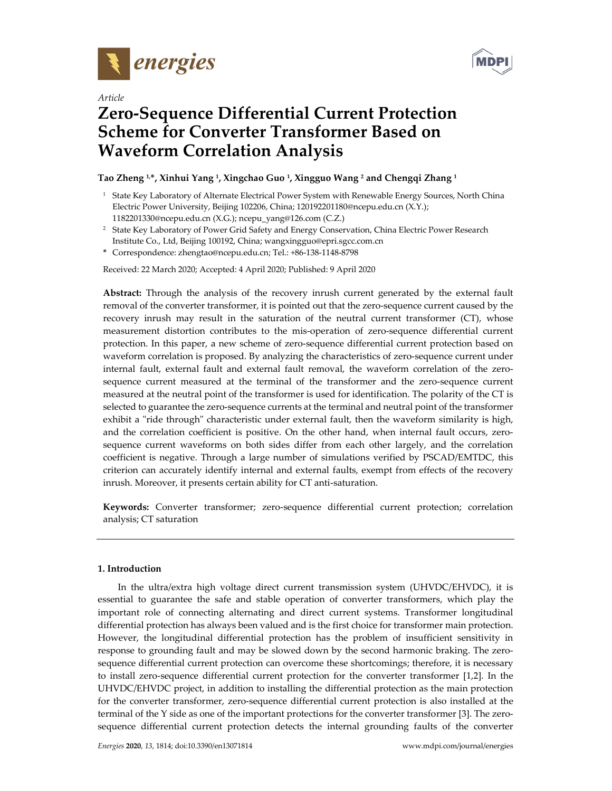





# **Zero-Sequence Differential Current Protection Scheme for Converter Transformer Based on Waveform Correlation Analysis**

# **Tao Zheng 1,\*, Xinhui Yang 1, Xingchao Guo 1, Xingguo Wang 2 and Chengqi Zhang <sup>1</sup>**

- <sup>1</sup> State Key Laboratory of Alternate Electrical Power System with Renewable Energy Sources, North China Electric Power University, Beijing 102206, China; 120192201180@ncepu.edu.cn (X.Y.); 1182201330@ncepu.edu.cn (X.G.); ncepu\_yang@126.com (C.Z.)
- <sup>2</sup> State Key Laboratory of Power Grid Safety and Energy Conservation, China Electric Power Research Institute Co., Ltd, Beijing 100192, China; wangxingguo@epri.sgcc.com.cn
- **\*** Correspondence: zhengtao@ncepu.edu.cn; Tel.: +86-138-1148-8798

Received: 22 March 2020; Accepted: 4 April 2020; Published: 9 April 2020

**Abstract:** Through the analysis of the recovery inrush current generated by the external fault removal of the converter transformer, it is pointed out that the zero-sequence current caused by the recovery inrush may result in the saturation of the neutral current transformer (CT), whose measurement distortion contributes to the mis-operation of zero-sequence differential current protection. In this paper, a new scheme of zero-sequence differential current protection based on waveform correlation is proposed. By analyzing the characteristics of zero-sequence current under internal fault, external fault and external fault removal, the waveform correlation of the zerosequence current measured at the terminal of the transformer and the zero-sequence current measured at the neutral point of the transformer is used for identification. The polarity of the CT is selected to guarantee the zero-sequence currents at the terminal and neutral point of the transformer exhibit a "ride through" characteristic under external fault, then the waveform similarity is high, and the correlation coefficient is positive. On the other hand, when internal fault occurs, zerosequence current waveforms on both sides differ from each other largely, and the correlation coefficient is negative. Through a large number of simulations verified by PSCAD/EMTDC, this criterion can accurately identify internal and external faults, exempt from effects of the recovery inrush. Moreover, it presents certain ability for CT anti-saturation.

**Keywords:** Converter transformer; zero-sequence differential current protection; correlation analysis; CT saturation

# **1. Introduction**

In the ultra/extra high voltage direct current transmission system (UHVDC/EHVDC), it is essential to guarantee the safe and stable operation of converter transformers, which play the important role of connecting alternating and direct current systems. Transformer longitudinal differential protection has always been valued and is the first choice for transformer main protection. However, the longitudinal differential protection has the problem of insufficient sensitivity in response to grounding fault and may be slowed down by the second harmonic braking. The zerosequence differential current protection can overcome these shortcomings; therefore, it is necessary to install zero-sequence differential current protection for the converter transformer [1,2]. In the UHVDC/EHVDC project, in addition to installing the differential protection as the main protection for the converter transformer, zero-sequence differential current protection is also installed at the terminal of the Y side as one of the important protections for the converter transformer [3]. The zerosequence differential current protection detects the internal grounding faults of the converter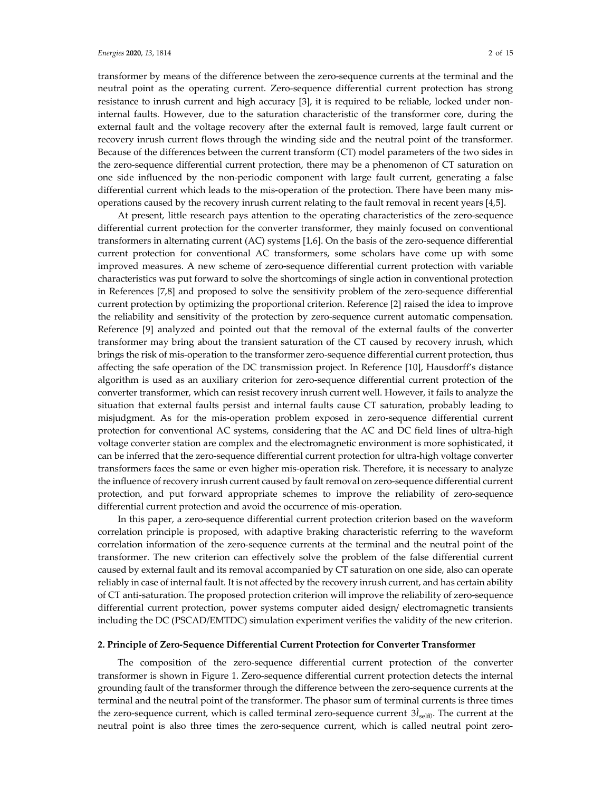transformer by means of the difference between the zero-sequence currents at the terminal and the neutral point as the operating current. Zero-sequence differential current protection has strong resistance to inrush current and high accuracy [3], it is required to be reliable, locked under noninternal faults. However, due to the saturation characteristic of the transformer core, during the external fault and the voltage recovery after the external fault is removed, large fault current or recovery inrush current flows through the winding side and the neutral point of the transformer. Because of the differences between the current transform (CT) model parameters of the two sides in the zero-sequence differential current protection, there may be a phenomenon of CT saturation on one side influenced by the non-periodic component with large fault current, generating a false differential current which leads to the mis-operation of the protection. There have been many misoperations caused by the recovery inrush current relating to the fault removal in recent years [4,5].

At present, little research pays attention to the operating characteristics of the zero-sequence differential current protection for the converter transformer, they mainly focused on conventional transformers in alternating current (AC) systems [1,6]. On the basis of the zero-sequence differential current protection for conventional AC transformers, some scholars have come up with some improved measures. A new scheme of zero-sequence differential current protection with variable characteristics was put forward to solve the shortcomings of single action in conventional protection in References [7,8] and proposed to solve the sensitivity problem of the zero-sequence differential current protection by optimizing the proportional criterion. Reference [2] raised the idea to improve the reliability and sensitivity of the protection by zero-sequence current automatic compensation. Reference [9] analyzed and pointed out that the removal of the external faults of the converter transformer may bring about the transient saturation of the CT caused by recovery inrush, which brings the risk of mis-operation to the transformer zero-sequence differential current protection, thus affecting the safe operation of the DC transmission project. In Reference [10], Hausdorff's distance algorithm is used as an auxiliary criterion for zero-sequence differential current protection of the converter transformer, which can resist recovery inrush current well. However, it fails to analyze the situation that external faults persist and internal faults cause CT saturation, probably leading to misjudgment. As for the mis-operation problem exposed in zero-sequence differential current protection for conventional AC systems, considering that the AC and DC field lines of ultra-high voltage converter station are complex and the electromagnetic environment is more sophisticated, it can be inferred that the zero-sequence differential current protection for ultra-high voltage converter transformers faces the same or even higher mis-operation risk. Therefore, it is necessary to analyze the influence of recovery inrush current caused by fault removal on zero-sequence differential current protection, and put forward appropriate schemes to improve the reliability of zero-sequence differential current protection and avoid the occurrence of mis-operation.

In this paper, a zero-sequence differential current protection criterion based on the waveform correlation principle is proposed, with adaptive braking characteristic referring to the waveform correlation information of the zero-sequence currents at the terminal and the neutral point of the transformer. The new criterion can effectively solve the problem of the false differential current caused by external fault and its removal accompanied by CT saturation on one side, also can operate reliably in case of internal fault. It is not affected by the recovery inrush current, and has certain ability of CT anti-saturation. The proposed protection criterion will improve the reliability of zero-sequence differential current protection, power systems computer aided design/ electromagnetic transients including the DC (PSCAD/EMTDC) simulation experiment verifies the validity of the new criterion.

#### **2. Principle of Zero-Sequence Differential Current Protection for Converter Transformer**

The composition of the zero-sequence differential current protection of the converter transformer is shown in Figure 1. Zero-sequence differential current protection detects the internal grounding fault of the transformer through the difference between the zero-sequence currents at the terminal and the neutral point of the transformer. The phasor sum of terminal currents is three times the zero-sequence current, which is called terminal zero-sequence current  $3\dot{I}_{\text{self}}$ . The current at the neutral point is also three times the zero-sequence current, which is called neutral point zero-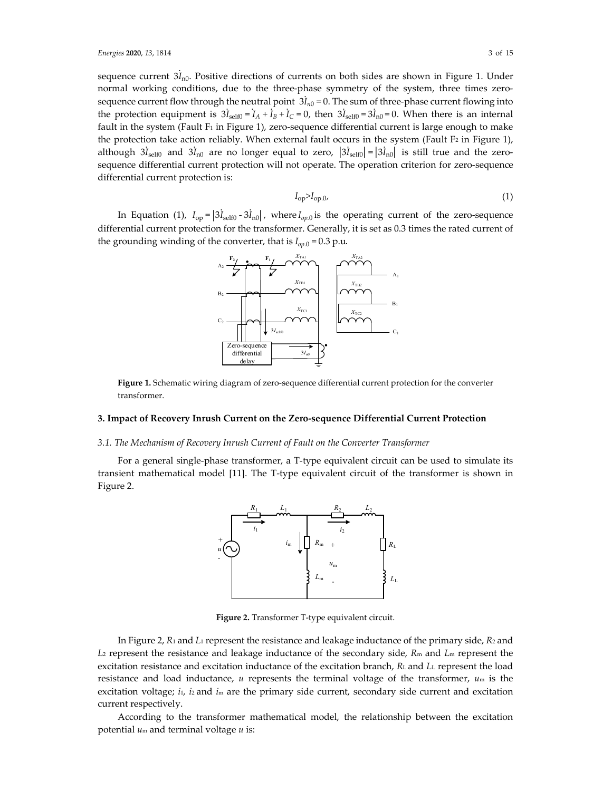sequence current  $3\dot{I}_{\text{n}0}$ . Positive directions of currents on both sides are shown in Figure 1. Under normal working conditions, due to the three-phase symmetry of the system, three times zerosequence current flow through the neutral point  $3\dot{I}_{n0}$  = 0. The sum of three-phase current flowing into the protection equipment is  $3\dot{I}_{\text{self0}} = \dot{I}_A + \dot{I}_B + \dot{I}_C = 0$ , then  $3\dot{I}_{\text{self0}} = 3\dot{I}_{n0} = 0$ . When there is an internal 1 fault in the system (Fault F<sub>1</sub> in Figure 1), zero-sequence differential current is large enough to make the protection take action reliably. When external fault occurs in the system (Fault F<sub>2</sub> in Figure 1), although  $3\dot{I}_{\rm self0}$  and  $3\dot{I}_{\rm n0}$  are no longer equal to zero,  $|3\dot{I}_{\rm self0}| = |3\dot{I}_{\rm n0}|$  is still true and the zerosequence differential current protection will not operate. The operation criterion for zero-sequence differential current protection is:

$$
I_{\rm op} > I_{\rm op.0}
$$
\n<sup>(1)</sup>

In Equation (1),  $I_{op} = |3I_{self0} - 3I_{n0}|$ , where  $I_{op,0}$  is the operating current of the zero-sequence differential current protection for the transformer. Generally, it is set as 0.3 times the rated current of the grounding winding of the converter, that is  $I_{op,0} = 0.3$  p.u.



**Figure 1.** Schematic wiring diagram of zero-sequence differential current protection for the converter transformer.

## **3. Impact of Recovery Inrush Current on the Zero-sequence Differential Current Protection**

#### *3.1. The Mechanism of Recovery Inrush Current of Fault on the Converter Transformer*

For a general single-phase transformer, a T-type equivalent circuit can be used to simulate its transient mathematical model [11]. The T-type equivalent circuit of the transformer is shown in Figure 2.



**Figure 2.** Transformer T-type equivalent circuit.

In Figure 2, *R*<sup>1</sup> and *L*<sup>1</sup> represent the resistance and leakage inductance of the primary side, *R*<sup>2</sup> and *L*<sup>2</sup> represent the resistance and leakage inductance of the secondary side, *R*<sup>m</sup> and *L*<sup>m</sup> represent the excitation resistance and excitation inductance of the excitation branch, *R*L and *L*<sup>L</sup> represent the load resistance and load inductance, *u* represents the terminal voltage of the transformer,  $u<sub>m</sub>$  is the excitation voltage; *i*1, *i*2 and *i*<sup>m</sup> are the primary side current, secondary side current and excitation current respectively.

According to the transformer mathematical model, the relationship between the excitation potential *u*<sup>m</sup> and terminal voltage *u* is: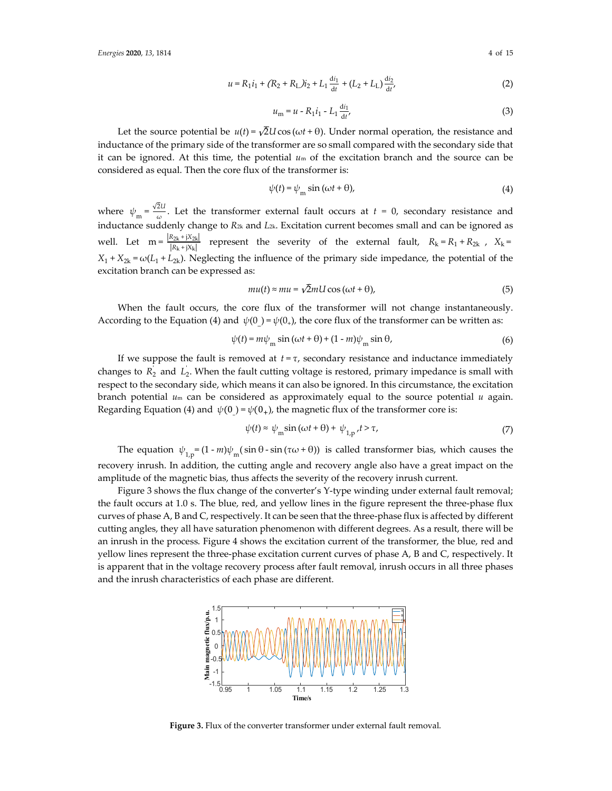$$
u = R_1 i_1 + (R_2 + R_L) i_2 + L_1 \frac{di_1}{dt} + (L_2 + L_L) \frac{di_2}{dt},
$$
\n(2)

$$
u_{\rm m} = u - R_1 i_1 - L_1 \frac{di_1}{dt'},
$$
\n(3)

Let the source potential be  $u(t) = \sqrt{2}U\cos(\omega t + \theta)$ . Under normal operation, the resistance and inductance of the primary side of the transformer are so small compared with the secondary side that it can be ignored. At this time, the potential *u*<sup>m</sup> of the excitation branch and the source can be considered as equal. Then the core flux of the transformer is:

$$
\psi(t) = \psi_{\text{m}} \sin(\omega t + \theta),\tag{4}
$$

where  $\psi_m = \frac{\sqrt{2}U}{\omega}$ . Let the transformer external fault occurs at  $t = 0$ , secondary resistance and inductance suddenly change to *R*2k and *L*2k. Excitation current becomes small and can be ignored as well. Let  $m = \frac{|R_{2k} + jX_{2k}|}{|R_k + jX_k|}$  represent the severity of the external fault,  $R_k = R_1 + R_{2k}$ ,  $X_k =$  $X_1 + X_{2k} = \omega(L_1 + L_{2k})$ . Neglecting the influence of the primary side impedance, the potential of the excitation branch can be expressed as:

$$
mu(t) \approx mu = \sqrt{2}mU\cos(\omega t + \theta),
$$
\n(5)

When the fault occurs, the core flux of the transformer will not change instantaneously. According to the Equation (4) and  $\psi(0) = \psi(0_+)$ , the core flux of the transformer can be written as:

$$
\psi(t) = m\psi_{\text{m}}\sin\left(\omega t + \theta\right) + (1 - m)\psi_{\text{m}}\sin\theta,\tag{6}
$$

If we suppose the fault is removed at  $t = \tau$ , secondary resistance and inductance immediately changes to  $R_2$  and  $L_2$ . When the fault cutting voltage is restored, primary impedance is small with respect to the secondary side, which means it can also be ignored. In this circumstance, the excitation branch potential *u*<sup>m</sup> can be considered as approximately equal to the source potential *u* again. Regarding Equation (4) and  $\psi(0) = \psi(0_+)$ , the magnetic flux of the transformer core is:

$$
\psi(t) \approx \psi_{\rm m} \sin(\omega t + \theta) + \psi_{1,\rm p}, t > \tau,
$$
\n(7)

The equation  $\psi_{1,p} = (1 - m)\psi_m(\sin \theta - \sin(\tau \omega + \theta))$  is called transformer bias, which causes the recovery inrush. In addition, the cutting angle and recovery angle also have a great impact on the amplitude of the magnetic bias, thus affects the severity of the recovery inrush current.

Figure 3 shows the flux change of the converter's Y-type winding under external fault removal; the fault occurs at 1.0 s. The blue, red, and yellow lines in the figure represent the three-phase flux curves of phase A, B and C, respectively. It can be seen that the three-phase flux is affected by different cutting angles, they all have saturation phenomenon with different degrees. As a result, there will be an inrush in the process. Figure 4 shows the excitation current of the transformer, the blue, red and yellow lines represent the three-phase excitation current curves of phase A, B and C, respectively. It is apparent that in the voltage recovery process after fault removal, inrush occurs in all three phases and the inrush characteristics of each phase are different.



**Figure 3.** Flux of the converter transformer under external fault removal.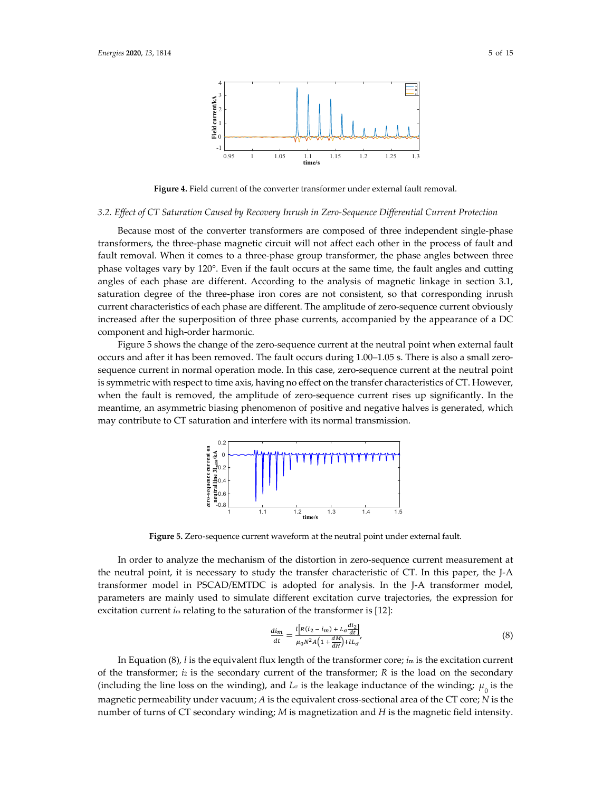

**Figure 4.** Field current of the converter transformer under external fault removal.

#### *3.2. Effect of CT Saturation Caused by Recovery Inrush in Zero-Sequence Differential Current Protection*

Because most of the converter transformers are composed of three independent single-phase transformers, the three-phase magnetic circuit will not affect each other in the process of fault and fault removal. When it comes to a three-phase group transformer, the phase angles between three phase voltages vary by 120°. Even if the fault occurs at the same time, the fault angles and cutting angles of each phase are different. According to the analysis of magnetic linkage in section 3.1, saturation degree of the three-phase iron cores are not consistent, so that corresponding inrush current characteristics of each phase are different. The amplitude of zero-sequence current obviously increased after the superposition of three phase currents, accompanied by the appearance of a DC component and high-order harmonic.

Figure 5 shows the change of the zero-sequence current at the neutral point when external fault occurs and after it has been removed. The fault occurs during 1.00–1.05 s. There is also a small zerosequence current in normal operation mode. In this case, zero-sequence current at the neutral point is symmetric with respect to time axis, having no effect on the transfer characteristics of CT. However, when the fault is removed, the amplitude of zero-sequence current rises up significantly. In the meantime, an asymmetric biasing phenomenon of positive and negative halves is generated, which may contribute to CT saturation and interfere with its normal transmission.



**Figure 5.** Zero-sequence current waveform at the neutral point under external fault.

In order to analyze the mechanism of the distortion in zero-sequence current measurement at the neutral point, it is necessary to study the transfer characteristic of CT. In this paper, the J-A transformer model in PSCAD/EMTDC is adopted for analysis. In the J-A transformer model, parameters are mainly used to simulate different excitation curve trajectories, the expression for excitation current *i*<sup>m</sup> relating to the saturation of the transformer is [12]:

$$
\frac{di_m}{dt} = \frac{l\left[R(i_2 - i_m) + L_{\sigma} \frac{di_2}{dt}\right]}{\mu_0 N^2 A \left(1 + \frac{dM}{dH}\right) + lL_{\sigma'}}\tag{8}
$$

In Equation (8), *l* is the equivalent flux length of the transformer core; *i*<sup>m</sup> is the excitation current of the transformer; *i*<sup>2</sup> is the secondary current of the transformer; *R* is the load on the secondary (including the line loss on the winding), and  $L_{\sigma}$  is the leakage inductance of the winding;  $\mu_0$  is the magnetic permeability under vacuum; *A* is the equivalent cross-sectional area of the CT core; *N* is the number of turns of CT secondary winding; *M* is magnetization and *H* is the magnetic field intensity.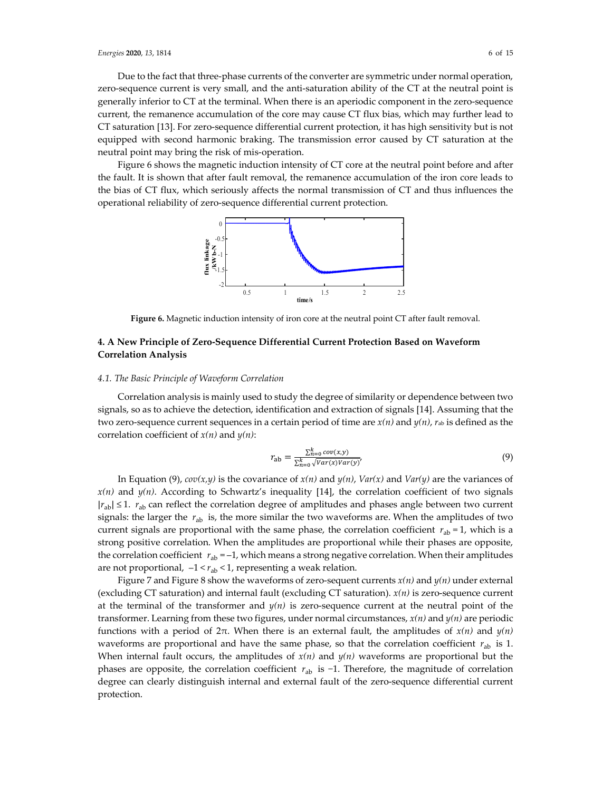Due to the fact that three-phase currents of the converter are symmetric under normal operation, zero-sequence current is very small, and the anti-saturation ability of the CT at the neutral point is generally inferior to CT at the terminal. When there is an aperiodic component in the zero-sequence current, the remanence accumulation of the core may cause CT flux bias, which may further lead to CT saturation [13]. For zero-sequence differential current protection, it has high sensitivity but is not equipped with second harmonic braking. The transmission error caused by CT saturation at the neutral point may bring the risk of mis-operation.

Figure 6 shows the magnetic induction intensity of CT core at the neutral point before and after the fault. It is shown that after fault removal, the remanence accumulation of the iron core leads to the bias of CT flux, which seriously affects the normal transmission of CT and thus influences the operational reliability of zero-sequence differential current protection.



**Figure 6.** Magnetic induction intensity of iron core at the neutral point CT after fault removal.

## **4. A New Principle of Zero-Sequence Differential Current Protection Based on Waveform Correlation Analysis**

## *4.1. The Basic Principle of Waveform Correlation*

Correlation analysis is mainly used to study the degree of similarity or dependence between two signals, so as to achieve the detection, identification and extraction of signals [14]. Assuming that the two zero-sequence current sequences in a certain period of time are  $x(n)$  and  $y(n)$ ,  $r_{ab}$  is defined as the correlation coefficient of *x(n)* and *y(n)*:

$$
r_{ab} = \frac{\sum_{n=0}^{k} cov(x, y)}{\sum_{n=0}^{k} \sqrt{Var(x)Var(y)}}\tag{9}
$$

In Equation (9),  $cov(x,y)$  is the covariance of  $x(n)$  and  $y(n)$ ,  $Var(x)$  and  $Var(y)$  are the variances of *x(n)* and *y(n)*. According to Schwartz's inequality [14], the correlation coefficient of two signals  $|r_{ab}| \leq 1$ .  $r_{ab}$  can reflect the correlation degree of amplitudes and phases angle between two current signals: the larger the  $r_{ab}$  is, the more similar the two waveforms are. When the amplitudes of two current signals are proportional with the same phase, the correlation coefficient  $r_{ab} = 1$ , which is a strong positive correlation. When the amplitudes are proportional while their phases are opposite, the correlation coefficient  $r_{ab} = -1$ , which means a strong negative correlation. When their amplitudes are not proportional,  $-1 < r_{ab} < 1$ , representing a weak relation.

Figure 7 and Figure 8 show the waveforms of zero-sequent currents *x(n)* and *y(n)* under external (excluding CT saturation) and internal fault (excluding CT saturation). *x(n)* is zero-sequence current at the terminal of the transformer and  $y(n)$  is zero-sequence current at the neutral point of the transformer. Learning from these two figures, under normal circumstances, *x(n)* and *y(n)* are periodic functions with a period of 2π. When there is an external fault, the amplitudes of *x(n)* and *y(n)* waveforms are proportional and have the same phase, so that the correlation coefficient  $r_{ab}$  is 1. When internal fault occurs, the amplitudes of  $x(n)$  and  $y(n)$  waveforms are proportional but the phases are opposite, the correlation coefficient *r*ab is −1. Therefore, the magnitude of correlation degree can clearly distinguish internal and external fault of the zero-sequence differential current protection.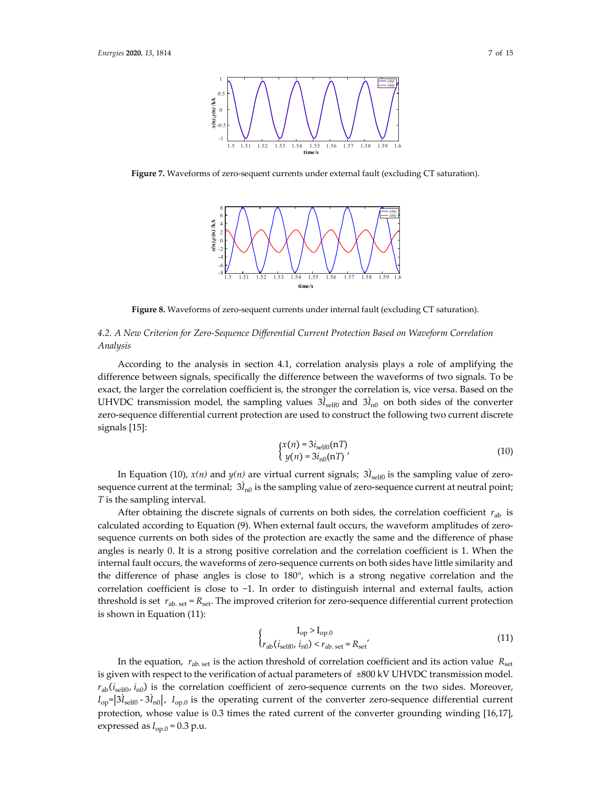

**Figure 7.** Waveforms of zero-sequent currents under external fault (excluding CT saturation).



**Figure 8.** Waveforms of zero-sequent currents under internal fault (excluding CT saturation).

# *4.2. A New Criterion for Zero-Sequence Differential Current Protection Based on Waveform Correlation Analysis*

According to the analysis in section 4.1, correlation analysis plays a role of amplifying the difference between signals, specifically the difference between the waveforms of two signals. To be exact, the larger the correlation coefficient is, the stronger the correlation is, vice versa. Based on the UHVDC transmission model, the sampling values  $3\dot{I}_{\text{self}}$  and  $3\dot{I}_{\text{n}0}$  on both sides of the converter zero-sequence differential current protection are used to construct the following two current discrete signals [15]:

$$
\begin{cases} x(n) = 3i_{\text{self0}}(n) \\ y(n) = 3i_{\text{n0}}(n) \end{cases} \tag{10}
$$

In Equation (10),  $x(n)$  and  $y(n)$  are virtual current signals;  $3\dot{I}_{\text{self0}}$  is the sampling value of zerosequence current at the terminal;  $\vec{3}l_{\mathrm{n}0}$  is the sampling value of zero-sequence current at neutral point; *T* is the sampling interval.

After obtaining the discrete signals of currents on both sides, the correlation coefficient  $r_{ab}$  is calculated according to Equation (9). When external fault occurs, the waveform amplitudes of zerosequence currents on both sides of the protection are exactly the same and the difference of phase angles is nearly 0. It is a strong positive correlation and the correlation coefficient is 1. When the internal fault occurs, the waveforms of zero-sequence currents on both sides have little similarity and the difference of phase angles is close to 180°, which is a strong negative correlation and the correlation coefficient is close to −1. In order to distinguish internal and external faults, action threshold is set  $r_{ab. set} = R_{set}$ . The improved criterion for zero-sequence differential current protection is shown in Equation (11):

$$
\begin{cases}\nI_{op} > I_{op,0} \\
r_{ab}(i_{\text{self0}}, i_{\text{n0}}) < r_{ab \text{. set}} = R_{\text{set}}'\n\end{cases} \tag{11}
$$

In the equation,  $r_{ab. set}$  is the action threshold of correlation coefficient and its action value  $R_{set}$ is given with respect to the verification of actual parameters of ±800 kV UHVDC transmission model.  $r_{ab}(i_{self0}, i_{n0})$  is the correlation coefficient of zero-sequence currents on the two sides. Moreover,  $I_{op}$ = $|3I_{self0} - 3I_{n0}|$ ,  $I_{op,0}$  is the operating current of the converter zero-sequence differential current protection, whose value is 0.3 times the rated current of the converter grounding winding [16,17], expressed as  $I_{\text{op.0}} = 0.3 \text{ p.u.}$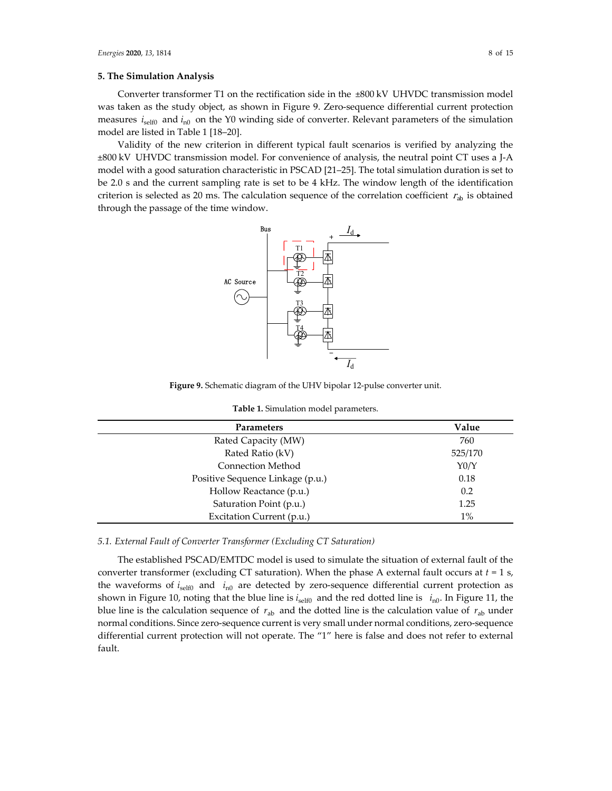## **5. The Simulation Analysis**

Converter transformer T1 on the rectification side in the ±800 kV UHVDC transmission model was taken as the study object, as shown in Figure 9. Zero-sequence differential current protection measures  $i_{\text{self0}}$  and  $i_{\text{n0}}$  on the Y0 winding side of converter. Relevant parameters of the simulation model are listed in Table 1 [18–20].

Validity of the new criterion in different typical fault scenarios is verified by analyzing the ±800 kV UHVDC transmission model. For convenience of analysis, the neutral point CT uses a J-A model with a good saturation characteristic in PSCAD [21–25]. The total simulation duration is set to be 2.0 s and the current sampling rate is set to be 4 kHz. The window length of the identification criterion is selected as 20 ms. The calculation sequence of the correlation coefficient  $r_{ab}$  is obtained through the passage of the time window.



**Figure 9.** Schematic diagram of the UHV bipolar 12-pulse converter unit.

|  |  |  |  |  | Table 1. Simulation model parameters. |
|--|--|--|--|--|---------------------------------------|
|--|--|--|--|--|---------------------------------------|

| <b>Parameters</b>                | Value   |  |
|----------------------------------|---------|--|
| Rated Capacity (MW)              | 760     |  |
| Rated Ratio (kV)                 | 525/170 |  |
| <b>Connection Method</b>         | Y0/Y    |  |
| Positive Sequence Linkage (p.u.) | 0.18    |  |
| Hollow Reactance (p.u.)          | 0.2     |  |
| Saturation Point (p.u.)          | 1.25    |  |
| Excitation Current (p.u.)        | $1\%$   |  |

*5.1. External Fault of Converter Transformer (Excluding CT Saturation)*

The established PSCAD/EMTDC model is used to simulate the situation of external fault of the converter transformer (excluding CT saturation). When the phase A external fault occurs at  $t = 1$  s, the waveforms of  $i_{\text{self}}$  and  $i_{\text{n0}}$  are detected by zero-sequence differential current protection as shown in Figure 10, noting that the blue line is  $i_{\text{self0}}$  and the red dotted line is  $i_{\text{n0}}$ . In Figure 11, the blue line is the calculation sequence of  $r_{ab}$  and the dotted line is the calculation value of  $r_{ab}$  under normal conditions. Since zero-sequence current is very small under normal conditions, zero-sequence differential current protection will not operate. The "1" here is false and does not refer to external fault.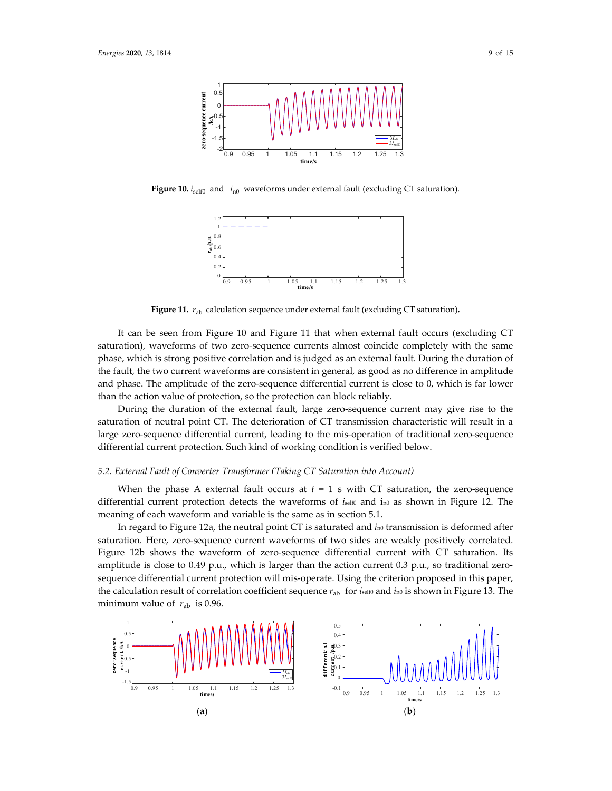

**Figure 10.**  $i_{\text{self0}}$  and  $i_{\text{n0}}$  waveforms under external fault (excluding CT saturation).



**Figure 11.** *r*ab calculation sequence under external fault (excluding CT saturation)**.**

It can be seen from Figure 10 and Figure 11 that when external fault occurs (excluding CT saturation), waveforms of two zero-sequence currents almost coincide completely with the same phase, which is strong positive correlation and is judged as an external fault. During the duration of the fault, the two current waveforms are consistent in general, as good as no difference in amplitude and phase. The amplitude of the zero-sequence differential current is close to 0, which is far lower than the action value of protection, so the protection can block reliably.

During the duration of the external fault, large zero-sequence current may give rise to the saturation of neutral point CT. The deterioration of CT transmission characteristic will result in a large zero-sequence differential current, leading to the mis-operation of traditional zero-sequence differential current protection. Such kind of working condition is verified below.

## *5.2. External Fault of Converter Transformer (Taking CT Saturation into Account)*

When the phase A external fault occurs at  $t = 1$  s with CT saturation, the zero-sequence differential current protection detects the waveforms of *i*self0 and in0 as shown in Figure 12. The meaning of each waveform and variable is the same as in section 5.1.

In regard to Figure 12a, the neutral point CT is saturated and  $i<sub>n0</sub>$  transmission is deformed after saturation. Here, zero-sequence current waveforms of two sides are weakly positively correlated. Figure 12b shows the waveform of zero-sequence differential current with CT saturation. Its amplitude is close to 0.49 p.u., which is larger than the action current 0.3 p.u., so traditional zerosequence differential current protection will mis-operate. Using the criterion proposed in this paper, the calculation result of correlation coefficient sequence  $r_{ab}$  for  $i_{set0}$  and  $i_{n0}$  is shown in Figure 13. The minimum value of  $r_{ab}$  is 0.96.

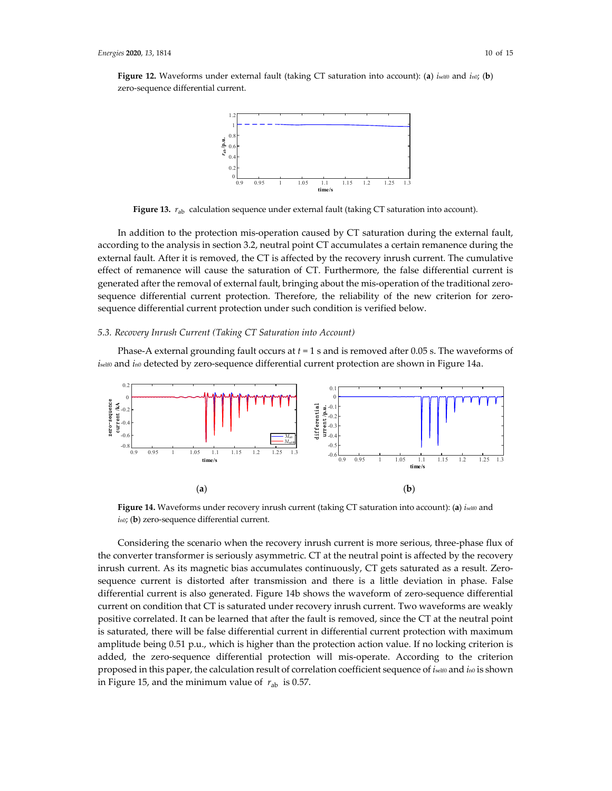



Figure 13.  $r_{ab}$  calculation sequence under external fault (taking CT saturation into account).

In addition to the protection mis-operation caused by CT saturation during the external fault, according to the analysis in section 3.2, neutral point CT accumulates a certain remanence during the external fault. After it is removed, the CT is affected by the recovery inrush current. The cumulative effect of remanence will cause the saturation of CT. Furthermore, the false differential current is generated after the removal of external fault, bringing about the mis-operation of the traditional zerosequence differential current protection. Therefore, the reliability of the new criterion for zerosequence differential current protection under such condition is verified below.

#### *5.3. Recovery Inrush Current (Taking CT Saturation into Account)*

Phase-A external grounding fault occurs at *t* = 1 s and is removed after 0.05 s. The waveforms of *i*self0 and *i*n0 detected by zero-sequence differential current protection are shown in Figure 14a.



Figure 14. Waveforms under recovery inrush current (taking CT saturation into account): (a) *iself0* and *i*n0; (**b**) zero-sequence differential current.

Considering the scenario when the recovery inrush current is more serious, three-phase flux of the converter transformer is seriously asymmetric. CT at the neutral point is affected by the recovery inrush current. As its magnetic bias accumulates continuously, CT gets saturated as a result. Zerosequence current is distorted after transmission and there is a little deviation in phase. False differential current is also generated. Figure 14b shows the waveform of zero-sequence differential current on condition that CT is saturated under recovery inrush current. Two waveforms are weakly positive correlated. It can be learned that after the fault is removed, since the CT at the neutral point is saturated, there will be false differential current in differential current protection with maximum amplitude being 0.51 p.u., which is higher than the protection action value. If no locking criterion is added, the zero-sequence differential protection will mis-operate. According to the criterion proposed in this paper, the calculation result of correlation coefficient sequence of *i*self0 and *i*n0 is shown in Figure 15, and the minimum value of  $r_{ab}$  is 0.57.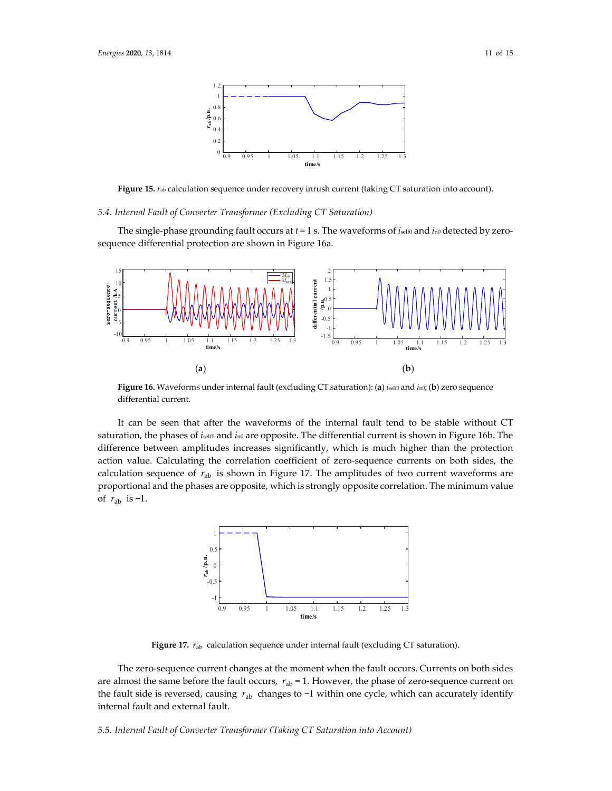

**Figure 15.** *r*ab calculation sequence under recovery inrush current (taking CT saturation into account).

### *5.4. Internal Fault of Converter Transformer (Excluding CT Saturation)*

The single-phase grounding fault occurs at  $t = 1$  s. The waveforms of *iself0* and *in0* detected by zerosequence differential protection are shown in Figure 16a.



**Figure 16.** Waveforms under internal fault (excluding CT saturation): (a)  $i_{\text{self}}$  and  $i_{\text{no}}$ ; (b) zero sequence differential current.

It can be seen that after the waveforms of the internal fault tend to be stable without CT saturation, the phases of *iself0* and *in0* are opposite. The differential current is shown in Figure 16b. The difference between amplitudes increases significantly, which is much higher than the protection action value. Calculating the correlation coefficient of zero-sequence currents on both sides, the calculation sequence of  $r_{ab}$  is shown in Figure 17. The amplitudes of two current waveforms are proportional and the phases are opposite, which is strongly opposite correlation. The minimum value of  $r_{ab}$  is -1.



Figure 17.  $r_{ab}$  calculation sequence under internal fault (excluding CT saturation).

The zero-sequence current changes at the moment when the fault occurs. Currents on both sides are almost the same before the fault occurs,  $r_{ab} = 1$ . However, the phase of zero-sequence current on the fault side is reversed, causing *r*ab changes to −1 within one cycle, which can accurately identify internal fault and external fault.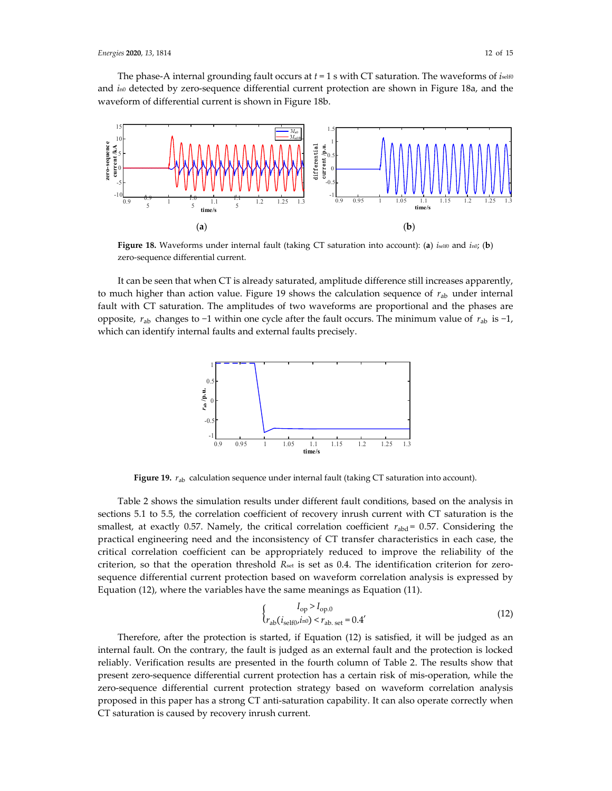The phase-A internal grounding fault occurs at  $t = 1$  s with CT saturation. The waveforms of  $i$ <sub>self0</sub> and *i*<sub>n0</sub> detected by zero-sequence differential current protection are shown in Figure 18a, and the waveform of differential current is shown in Figure 18b.



**Figure 18.** Waveforms under internal fault (taking CT saturation into account): (**a**) *i*self0 and *i*n0; (**b**) zero-sequence differential current.

It can be seen that when CT is already saturated, amplitude difference still increases apparently, to much higher than action value. Figure 19 shows the calculation sequence of *r*ab under internal fault with CT saturation. The amplitudes of two waveforms are proportional and the phases are opposite, *r*ab changes to −1 within one cycle after the fault occurs. The minimum value of *r*ab is −1, which can identify internal faults and external faults precisely.



Figure 19.  $r_{ab}$  calculation sequence under internal fault (taking CT saturation into account).

Table 2 shows the simulation results under different fault conditions, based on the analysis in sections 5.1 to 5.5, the correlation coefficient of recovery inrush current with CT saturation is the smallest, at exactly 0.57. Namely, the critical correlation coefficient  $r_{abd} = 0.57$ . Considering the practical engineering need and the inconsistency of CT transfer characteristics in each case, the critical correlation coefficient can be appropriately reduced to improve the reliability of the criterion, so that the operation threshold *R*set is set as 0.4. The identification criterion for zerosequence differential current protection based on waveform correlation analysis is expressed by Equation (12), where the variables have the same meanings as Equation (11).

$$
\begin{cases} I_{\rm op} > I_{\rm op,0} \\ r_{\rm ab} (i_{\rm self0}, i_{\rm no}) < r_{\rm ab. \, set} = 0.4' \end{cases}
$$
 (12)

Therefore, after the protection is started, if Equation (12) is satisfied, it will be judged as an internal fault. On the contrary, the fault is judged as an external fault and the protection is locked reliably. Verification results are presented in the fourth column of Table 2. The results show that present zero-sequence differential current protection has a certain risk of mis-operation, while the zero-sequence differential current protection strategy based on waveform correlation analysis proposed in this paper has a strong CT anti-saturation capability. It can also operate correctly when CT saturation is caused by recovery inrush current.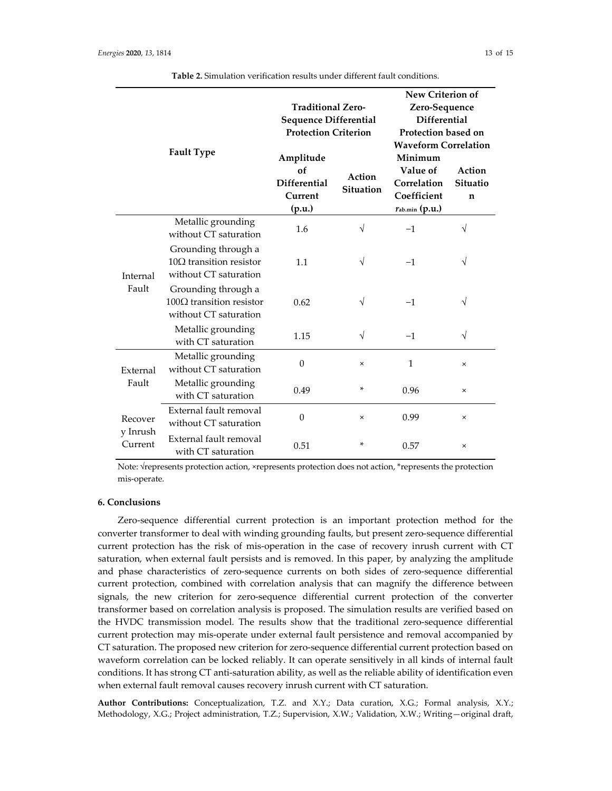|                   |                                                                                | <b>Traditional Zero-</b><br><b>Sequence Differential</b><br><b>Protection Criterion</b> |                            | New Criterion of<br>Zero-Sequence<br><b>Differential</b><br>Protection based on<br><b>Waveform Correlation</b> |                                   |
|-------------------|--------------------------------------------------------------------------------|-----------------------------------------------------------------------------------------|----------------------------|----------------------------------------------------------------------------------------------------------------|-----------------------------------|
|                   | <b>Fault Type</b>                                                              | Amplitude<br>of<br><b>Differential</b><br>Current<br>(p.u.)                             | Action<br><b>Situation</b> | Minimum<br>Value of<br>Correlation<br>Coefficient<br>$r_{ab,min}$ (p.u.)                                       | Action<br>Situatio<br>$\mathbf n$ |
| Internal<br>Fault | Metallic grounding<br>without CT saturation                                    | 1.6                                                                                     | V                          | $-1$                                                                                                           | $\sqrt{}$                         |
|                   | Grounding through a<br>$10\Omega$ transition resistor<br>without CT saturation | 1.1                                                                                     | V                          | $-1$                                                                                                           | V                                 |
|                   | Grounding through a<br>$100Ω$ transition resistor<br>without CT saturation     | 0.62                                                                                    | V                          | $-1$                                                                                                           | $\sqrt{}$                         |
|                   | Metallic grounding<br>with CT saturation                                       | 1.15                                                                                    | V                          | $-1$                                                                                                           | $\sqrt{}$                         |
| External<br>Fault | Metallic grounding<br>without CT saturation                                    | $\theta$                                                                                | ×                          | 1                                                                                                              | $\pmb{\times}$                    |
|                   | Metallic grounding<br>with CT saturation                                       | 0.49                                                                                    | *                          | 0.96                                                                                                           | ×                                 |
| Recover           | External fault removal<br>without CT saturation                                | $\overline{0}$                                                                          | $\times$                   | 0.99                                                                                                           | $\times$                          |

**Table 2.** Simulation verification results under different fault conditions.

Note: √represents protection action, ×represents protection does not action, \*represents the protection mis-operate.

with CT saturation  $0.51$  \*  $0.57$  \*

## **6. Conclusions**

y Inrush Current

External fault removal

Zero-sequence differential current protection is an important protection method for the converter transformer to deal with winding grounding faults, but present zero-sequence differential current protection has the risk of mis-operation in the case of recovery inrush current with CT saturation, when external fault persists and is removed. In this paper, by analyzing the amplitude and phase characteristics of zero-sequence currents on both sides of zero-sequence differential current protection, combined with correlation analysis that can magnify the difference between signals, the new criterion for zero-sequence differential current protection of the converter transformer based on correlation analysis is proposed. The simulation results are verified based on the HVDC transmission model. The results show that the traditional zero-sequence differential current protection may mis-operate under external fault persistence and removal accompanied by CT saturation. The proposed new criterion for zero-sequence differential current protection based on waveform correlation can be locked reliably. It can operate sensitively in all kinds of internal fault conditions. It has strong CT anti-saturation ability, as well as the reliable ability of identification even when external fault removal causes recovery inrush current with CT saturation.

**Author Contributions:** Conceptualization, T.Z. and X.Y.; Data curation, X.G.; Formal analysis, X.Y.; Methodology, X.G.; Project administration, T.Z.; Supervision, X.W.; Validation, X.W.; Writing—original draft,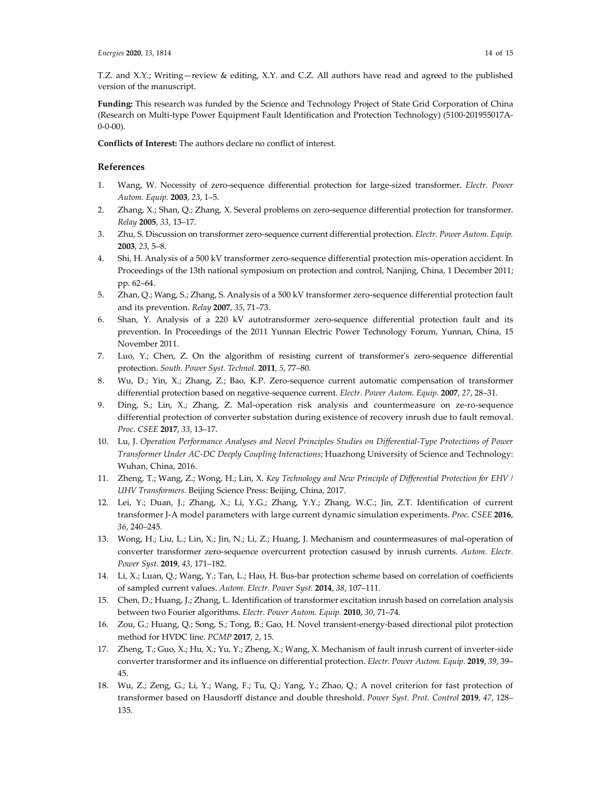T.Z. and X.Y.; Writing—review & editing, X.Y. and C.Z. All authors have read and agreed to the published version of the manuscript.

**Funding:** This research was funded by the Science and Technology Project of State Grid Corporation of China (Research on Multi-type Power Equipment Fault Identification and Protection Technology) (5100-201955017A-0-0-00).

**Conflicts of Interest:** The authors declare no conflict of interest.

## **References**

- 1. Wang, W. Necessity of zero-sequence differential protection for large-sized transformer. *Electr. Power Autom. Equip.* **2003**, *23*, 1–5.
- 2. Zhang, X.; Shan, Q.; Zhang, X. Several problems on zero-sequence differential protection for transformer. *Relay* **2005**, *33*, 13–17.
- 3. Zhu, S. Discussion on transformer zero-sequence current differential protection. *Electr. Power Autom. Equip.*  **2003**, *23*, 5–8.
- 4. Shi, H. Analysis of a 500 kV transformer zero-sequence differential protection mis-operation accident. In Proceedings of the 13th national symposium on protection and control, Nanjing, China, 1 December 2011; pp. 62–64.
- 5. Zhan, Q.; Wang, S.; Zhang, S. Analysis of a 500 kV transformer zero-sequence differential protection fault and its prevention. *Relay* **2007**, *35*, 71–73.
- 6. Shan, Y. Analysis of a 220 kV autotransformer zero-sequence differential protection fault and its prevention. In Proceedings of the 2011 Yunnan Electric Power Technology Forum, Yunnan, China, 15 November 2011.
- 7. Luo, Y.; Chen, Z. On the algorithm of resisting current of transformer's zero-sequence differential protection. *South. Power Syst. Technol.* **2011**, *5*, 77–80.
- 8. Wu, D.; Yin, X.; Zhang, Z.; Bao, K.P. Zero-sequence current automatic compensation of transformer differential protection based on negative-sequence current. *Electr. Power Autom. Equip.* **2007**, *27*, 28–31.
- 9. Ding, S.; Lin, X.; Zhang, Z. Mal-operation risk analysis and countermeasure on ze-ro-sequence differential protection of converter substation during existence of recovery inrush due to fault removal. *Proc. CSEE* **2017**, *33*, 13–17.
- 10. Lu, J. *Operation Performance Analyses and Novel Principles Studies on Differential-Type Protections of Power Transformer Under AC-DC Deeply Coupling Interactions*; Huazhong University of Science and Technology: Wuhan, China, 2016.
- 11. Zheng, T.; Wang, Z.; Wong, H.; Lin, X. *Key Technology and New Principle of Differential Protection for EHV / UHV Transformers.* Beijing Science Press: Beijing, China, 2017.
- 12. Lei, Y.; Duan, J.; Zhang, X.; Li, Y.G.; Zhang, Y.Y.; Zhang, W.C.; Jin, Z.T. Identification of current transformer J-A model parameters with large current dynamic simulation experiments. *Proc. CSEE* **2016**, *36*, 240–245.
- 13. Wong, H.; Liu, L.; Lin, X.; Jin, N.; Li, Z.; Huang, J. Mechanism and countermeasures of mal-operation of converter transformer zero-sequence overcurrent protection casused by inrush currents. *Autom. Electr. Power Syst.* **2019**, *43*, 171–182.
- 14. Li, X.; Luan, Q.; Wang, Y.; Tan, L.; Hao, H. Bus-bar protection scheme based on correlation of coefficients of sampled current values. *Autom. Electr. Power Syst.* **2014**, *38*, 107–111.
- 15. Chen, D.; Huang, J.; Zhang, L. Identification of transformer excitation inrush based on correlation analysis between two Fourier algorithms. *Electr. Power Autom. Equip.* **2010**, *30*, 71–74.
- 16. Zou, G.; Huang, Q.; Song, S.; Tong, B.; Gao, H. Novel transient-energy-based directional pilot protection method for HVDC line. *PCMP* **2017**, *2*, 15.
- 17. Zheng, T.; Guo, X.; Hu, X.; Yu, Y.; Zheng, X.; Wang, X. Mechanism of fault inrush current of inverter-side converter transformer and its influence on differential protection. *Electr. Power Autom. Equip.* **2019**, *39*, 39– 45.
- 18. Wu, Z.; Zeng, G.; Li, Y.; Wang, F.; Tu, Q.; Yang, Y.; Zhao, Q.; A novel criterion for fast protection of transformer based on Hausdorff distance and double threshold. *Power Syst. Prot. Control* **2019**, *47*, 128– 135.